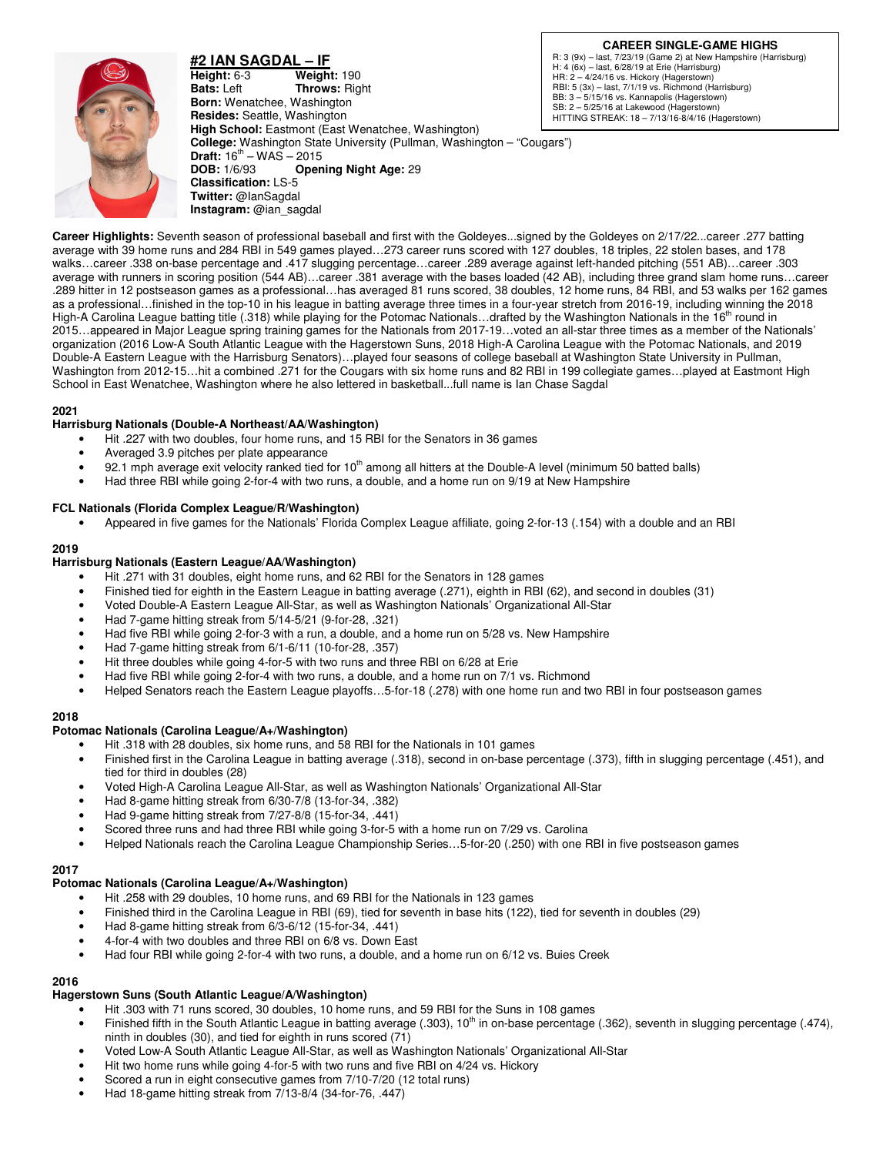

**#2 IAN SAGDAL – IF Height:** 6-3 **Weight:** 190 **Bats:** Left **Throws:** Rig **Throws: Right Born:** Wenatchee, Washington **Resides:** Seattle, Washington **High School:** Eastmont (East Wenatchee, Washington) **College:** Washington State University (Pullman, Washington – "Cougars") **Draft:**  $16^{th} - WAS - 2015$ <br>**DOB:**  $1/6/93$  **Open Opening Night Age: 29 Classification:** LS-5 **Twitter:** @IanSagdal **Instagram:** @ian\_sagdal

**CAREER SINGLE-GAME HIGHS**

R: 3 (9x) – last, 7/23/19 (Game 2) at New Hampshire (Harrisburg) H: 4 (6x) – last, 6/28/19 at Erie (Harrisburg) HR: 2 – 4/24/16 vs. Hickory (Hagerstown) RBI: 5 (3x) – last, 7/1/19 vs. Richmond (Harrisburg) BB: 3 – 5/15/16 vs. Kannapolis (Hagerstown) SB: 2 – 5/25/16 at Lakewood (Hagerstown) HITTING STREAK: 18 – 7/13/16-8/4/16 (Hagerstown)

**Career Highlights:** Seventh season of professional baseball and first with the Goldeyes...signed by the Goldeyes on 2/17/22...career .277 batting average with 39 home runs and 284 RBI in 549 games played…273 career runs scored with 127 doubles, 18 triples, 22 stolen bases, and 178 walks…career .338 on-base percentage and .417 slugging percentage…career .289 average against left-handed pitching (551 AB)…career .303 average with runners in scoring position (544 AB)…career .381 average with the bases loaded (42 AB), including three grand slam home runs…career .289 hitter in 12 postseason games as a professional…has averaged 81 runs scored, 38 doubles, 12 home runs, 84 RBI, and 53 walks per 162 games as a professional…finished in the top-10 in his league in batting average three times in a four-year stretch from 2016-19, including winning the 2018 High-A Carolina League batting title (.318) while playing for the Potomac Nationals...drafted by the Washington Nationals in the 16<sup>th</sup> round in 2015…appeared in Major League spring training games for the Nationals from 2017-19…voted an all-star three times as a member of the Nationals' organization (2016 Low-A South Atlantic League with the Hagerstown Suns, 2018 High-A Carolina League with the Potomac Nationals, and 2019 Double-A Eastern League with the Harrisburg Senators)…played four seasons of college baseball at Washington State University in Pullman, Washington from 2012-15…hit a combined .271 for the Cougars with six home runs and 82 RBI in 199 collegiate games…played at Eastmont High School in East Wenatchee, Washington where he also lettered in basketball...full name is Ian Chase Sagdal

## **2021**

## **Harrisburg Nationals (Double-A Northeast/AA/Washington)**

- Hit .227 with two doubles, four home runs, and 15 RBI for the Senators in 36 games
- Averaged 3.9 pitches per plate appearance
- 92.1 mph average exit velocity ranked tied for  $10<sup>th</sup>$  among all hitters at the Double-A level (minimum 50 batted balls)
- Had three RBI while going 2-for-4 with two runs, a double, and a home run on 9/19 at New Hampshire

#### **FCL Nationals (Florida Complex League/R/Washington)**

• Appeared in five games for the Nationals' Florida Complex League affiliate, going 2-for-13 (.154) with a double and an RBI

#### **2019**

#### **Harrisburg Nationals (Eastern League/AA/Washington)**

- Hit .271 with 31 doubles, eight home runs, and 62 RBI for the Senators in 128 games
- Finished tied for eighth in the Eastern League in batting average (.271), eighth in RBI (62), and second in doubles (31)
- Voted Double-A Eastern League All-Star, as well as Washington Nationals' Organizational All-Star
- Had 7-game hitting streak from 5/14-5/21 (9-for-28, .321)
- Had five RBI while going 2-for-3 with a run, a double, and a home run on 5/28 vs. New Hampshire
- Had 7-game hitting streak from 6/1-6/11 (10-for-28, .357)
- Hit three doubles while going 4-for-5 with two runs and three RBI on 6/28 at Erie
- Had five RBI while going 2-for-4 with two runs, a double, and a home run on 7/1 vs. Richmond
- Helped Senators reach the Eastern League playoffs…5-for-18 (.278) with one home run and two RBI in four postseason games

#### **2018**

#### **Potomac Nationals (Carolina League/A+/Washington)**

- Hit .318 with 28 doubles, six home runs, and 58 RBI for the Nationals in 101 games
- Finished first in the Carolina League in batting average (.318), second in on-base percentage (.373), fifth in slugging percentage (.451), and tied for third in doubles (28)
- Voted High-A Carolina League All-Star, as well as Washington Nationals' Organizational All-Star
- Had 8-game hitting streak from 6/30-7/8 (13-for-34, .382)
- Had 9-game hitting streak from 7/27-8/8 (15-for-34, .441)
- Scored three runs and had three RBI while going 3-for-5 with a home run on 7/29 vs. Carolina
- Helped Nationals reach the Carolina League Championship Series…5-for-20 (.250) with one RBI in five postseason games

#### **2017**

#### **Potomac Nationals (Carolina League/A+/Washington)**

- Hit .258 with 29 doubles, 10 home runs, and 69 RBI for the Nationals in 123 games
- Finished third in the Carolina League in RBI (69), tied for seventh in base hits (122), tied for seventh in doubles (29)
- Had 8-game hitting streak from 6/3-6/12 (15-for-34, .441)
- 4-for-4 with two doubles and three RBI on 6/8 vs. Down East
- Had four RBI while going 2-for-4 with two runs, a double, and a home run on 6/12 vs. Buies Creek

## **2016**

# **Hagerstown Suns (South Atlantic League/A/Washington)**

- Hit .303 with 71 runs scored, 30 doubles, 10 home runs, and 59 RBI for the Suns in 108 games
- Finished fifth in the South Atlantic League in batting average (.303), 10<sup>th</sup> in on-base percentage (.362), seventh in slugging percentage (.474), ninth in doubles (30), and tied for eighth in runs scored (71)
- Voted Low-A South Atlantic League All-Star, as well as Washington Nationals' Organizational All-Star
- Hit two home runs while going 4-for-5 with two runs and five RBI on 4/24 vs. Hickory
- Scored a run in eight consecutive games from 7/10-7/20 (12 total runs)
- Had 18-game hitting streak from 7/13-8/4 (34-for-76, .447)